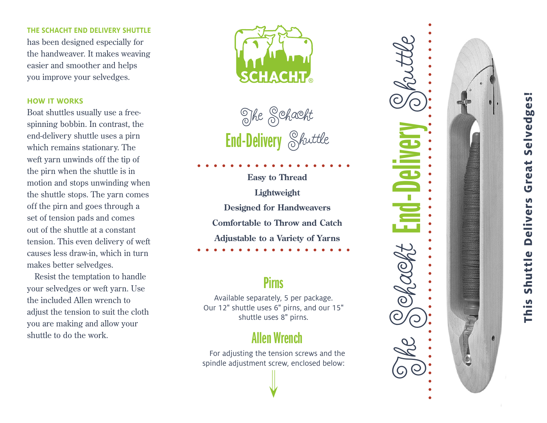## **THE SCHACHT END DELIVERY SHUTTLE**

has been designed especially for the handweaver. It makes weaving easier and smoother and helps you improve your selvedges.

## **HOW IT WORKS**

Boat shuttles usually use a freespinning bobbin. In contrast, the end-delivery shuttle uses a pirn which remains stationary. The weft yarn unwinds off the tip of the pirn when the shuttle is in motion and stops unwinding when  $\frac{24.57}{1.5}$ the shuttle stops. The yarn comes off the pirn and goes through a set of tension pads and comes out of the shuttle at a constant tension. This even delivery of weft causes less draw-in, which in turn makes better selvedges.

Resist the temptation to handle where the comptant of the matrix of the comptant of the matrix of the set of the posterior of the posterior of  $\frac{P}$ irns the included Allen wrench to adjust the tension to suit the cloth you are making and allow your shuttle to do the work.



End-Delivery Skuttle The Schacht

**Easy to Thread Lightweight Designed for Handweavers Comfortable to Throw and Catch Adjustable to a Variety of Yarns**

## **Pirns**

Available separately, 5 per package. Our 12 " shuttle uses 6 " pirns, and our 15 " shuttle uses 8 " pirns.

# Allen Wrench

For adjusting the tension screws and the spindle adjustment screw, enclosed below:



# **This Shuttle Delivers Great Selvedges!** This Shuttle Delivers Great Selvedges